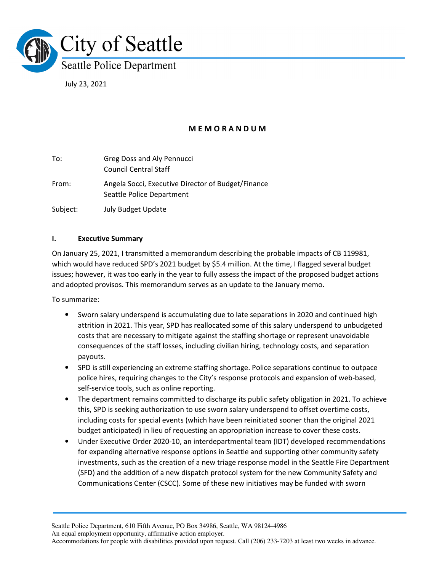

July 23, 2021

# M E M O R A N D U M

| To:      | Greg Doss and Aly Pennucci<br><b>Council Central Staff</b>                      |
|----------|---------------------------------------------------------------------------------|
| From:    | Angela Socci, Executive Director of Budget/Finance<br>Seattle Police Department |
| Subject: | <b>July Budget Update</b>                                                       |

### I. Executive Summary

On January 25, 2021, I transmitted a memorandum describing the probable impacts of CB 119981, which would have reduced SPD's 2021 budget by \$5.4 million. At the time, I flagged several budget issues; however, it was too early in the year to fully assess the impact of the proposed budget actions and adopted provisos. This memorandum serves as an update to the January memo.

To summarize:

- Sworn salary underspend is accumulating due to late separations in 2020 and continued high attrition in 2021. This year, SPD has reallocated some of this salary underspend to unbudgeted costs that are necessary to mitigate against the staffing shortage or represent unavoidable consequences of the staff losses, including civilian hiring, technology costs, and separation payouts.
- SPD is still experiencing an extreme staffing shortage. Police separations continue to outpace police hires, requiring changes to the City's response protocols and expansion of web-based, self-service tools, such as online reporting.
- The department remains committed to discharge its public safety obligation in 2021. To achieve this, SPD is seeking authorization to use sworn salary underspend to offset overtime costs, including costs for special events (which have been reinitiated sooner than the original 2021 budget anticipated) in lieu of requesting an appropriation increase to cover these costs.
- Under Executive Order 2020-10, an interdepartmental team (IDT) developed recommendations for expanding alternative response options in Seattle and supporting other community safety investments, such as the creation of a new triage response model in the Seattle Fire Department (SFD) and the addition of a new dispatch protocol system for the new Community Safety and Communications Center (CSCC). Some of these new initiatives may be funded with sworn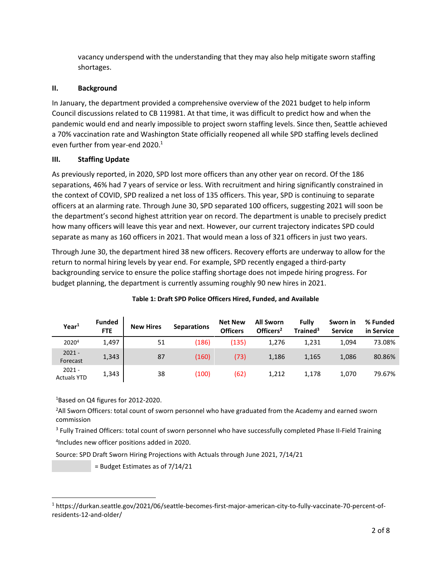vacancy underspend with the understanding that they may also help mitigate sworn staffing shortages.

# II. Background

In January, the department provided a comprehensive overview of the 2021 budget to help inform Council discussions related to CB 119981. At that time, it was difficult to predict how and when the pandemic would end and nearly impossible to project sworn staffing levels. Since then, Seattle achieved a 70% vaccination rate and Washington State officially reopened all while SPD staffing levels declined even further from year-end 2020.<sup>1</sup>

### III. Staffing Update

As previously reported, in 2020, SPD lost more officers than any other year on record. Of the 186 separations, 46% had 7 years of service or less. With recruitment and hiring significantly constrained in the context of COVID, SPD realized a net loss of 135 officers. This year, SPD is continuing to separate officers at an alarming rate. Through June 30, SPD separated 100 officers, suggesting 2021 will soon be the department's second highest attrition year on record. The department is unable to precisely predict how many officers will leave this year and next. However, our current trajectory indicates SPD could separate as many as 160 officers in 2021. That would mean a loss of 321 officers in just two years.

Through June 30, the department hired 38 new officers. Recovery efforts are underway to allow for the return to normal hiring levels by year end. For example, SPD recently engaged a third-party backgrounding service to ensure the police staffing shortage does not impede hiring progress. For budget planning, the department is currently assuming roughly 90 new hires in 2021.

| Year <sup>1</sup>              | <b>Funded</b><br><b>FTE</b> | <b>New Hires</b> | <b>Separations</b> | <b>Net New</b><br><b>Officers</b> | <b>All Sworn</b><br>Officers <sup>2</sup> | Fully<br>Trained <sup>3</sup> | Sworn in<br><b>Service</b> | % Funded<br>in Service |
|--------------------------------|-----------------------------|------------------|--------------------|-----------------------------------|-------------------------------------------|-------------------------------|----------------------------|------------------------|
| 20204                          | 1,497                       | 51               | (186)              | (135)                             | 1.276                                     | 1,231                         | 1,094                      | 73.08%                 |
| $2021 -$<br>Forecast           | 1,343                       | 87               | (160)              | (73)                              | 1,186                                     | 1,165                         | 1,086                      | 80.86%                 |
| $2021 -$<br><b>Actuals YTD</b> | 1,343                       | 38               | (100)              | (62)                              | 1,212                                     | 1,178                         | 1,070                      | 79.67%                 |

### Table 1: Draft SPD Police Officers Hired, Funded, and Available

<sup>1</sup>Based on Q4 figures for 2012-2020.

<sup>2</sup>All Sworn Officers: total count of sworn personnel who have graduated from the Academy and earned sworn commission

<sup>3</sup> Fully Trained Officers: total count of sworn personnel who have successfully completed Phase II-Field Training 4 Includes new officer positions added in 2020.

Source: SPD Draft Sworn Hiring Projections with Actuals through June 2021, 7/14/21

= Budget Estimates as of 7/14/21

<sup>1</sup> https://durkan.seattle.gov/2021/06/seattle-becomes-first-major-american-city-to-fully-vaccinate-70-percent-ofresidents-12-and-older/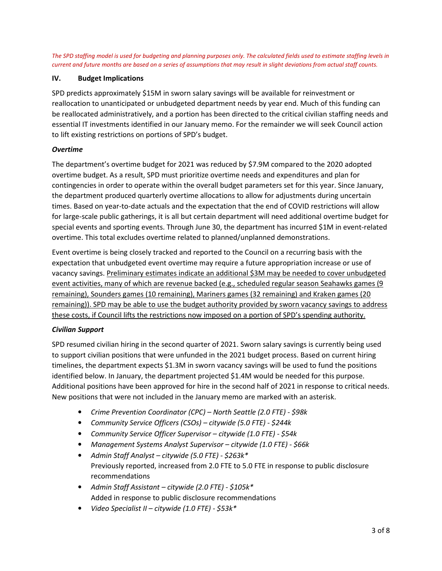The SPD staffing model is used for budgeting and planning purposes only. The calculated fields used to estimate staffing levels in current and future months are based on a series of assumptions that may result in slight deviations from actual staff counts.

#### IV. Budget Implications

SPD predicts approximately \$15M in sworn salary savings will be available for reinvestment or reallocation to unanticipated or unbudgeted department needs by year end. Much of this funding can be reallocated administratively, and a portion has been directed to the critical civilian staffing needs and essential IT investments identified in our January memo. For the remainder we will seek Council action to lift existing restrictions on portions of SPD's budget.

### Overtime

The department's overtime budget for 2021 was reduced by \$7.9M compared to the 2020 adopted overtime budget. As a result, SPD must prioritize overtime needs and expenditures and plan for contingencies in order to operate within the overall budget parameters set for this year. Since January, the department produced quarterly overtime allocations to allow for adjustments during uncertain times. Based on year-to-date actuals and the expectation that the end of COVID restrictions will allow for large-scale public gatherings, it is all but certain department will need additional overtime budget for special events and sporting events. Through June 30, the department has incurred \$1M in event-related overtime. This total excludes overtime related to planned/unplanned demonstrations.

Event overtime is being closely tracked and reported to the Council on a recurring basis with the expectation that unbudgeted event overtime may require a future appropriation increase or use of vacancy savings. Preliminary estimates indicate an additional \$3M may be needed to cover unbudgeted event activities, many of which are revenue backed (e.g., scheduled regular season Seahawks games (9 remaining), Sounders games (10 remaining), Mariners games (32 remaining) and Kraken games (20 remaining)). SPD may be able to use the budget authority provided by sworn vacancy savings to address these costs, if Council lifts the restrictions now imposed on a portion of SPD's spending authority.

### Civilian Support

SPD resumed civilian hiring in the second quarter of 2021. Sworn salary savings is currently being used to support civilian positions that were unfunded in the 2021 budget process. Based on current hiring timelines, the department expects \$1.3M in sworn vacancy savings will be used to fund the positions identified below. In January, the department projected \$1.4M would be needed for this purpose. Additional positions have been approved for hire in the second half of 2021 in response to critical needs. New positions that were not included in the January memo are marked with an asterisk.

- Crime Prevention Coordinator (CPC) North Seattle (2.0 FTE) \$98k
- Community Service Officers (CSOs) citywide (5.0 FTE) \$244k
- Community Service Officer Supervisor citywide (1.0 FTE) \$54k
- Management Systems Analyst Supervisor citywide (1.0 FTE) \$66k
- Admin Staff Analyst citywide (5.0 FTE) \$263k\* Previously reported, increased from 2.0 FTE to 5.0 FTE in response to public disclosure recommendations
- Admin Staff Assistant citywide (2.0 FTE) \$105k\* Added in response to public disclosure recommendations
- Video Specialist II citywide (1.0 FTE)  $$53k*$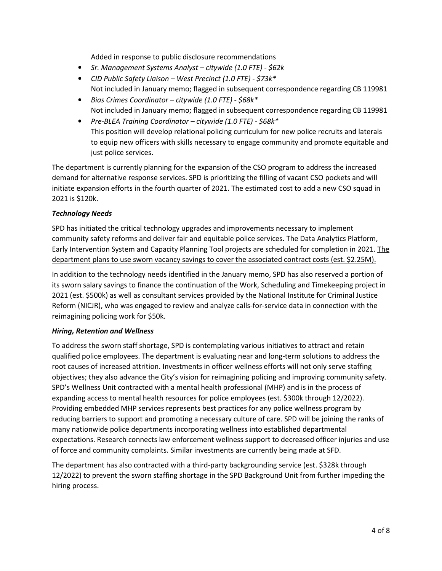Added in response to public disclosure recommendations

- Sr. Management Systems Analyst citywide (1.0 FTE) \$62k
- CID Public Safety Liaison West Precinct (1.0 FTE) \$73k\* Not included in January memo; flagged in subsequent correspondence regarding CB 119981
- Bias Crimes Coordinator citywide (1.0 FTE) \$68k\* Not included in January memo; flagged in subsequent correspondence regarding CB 119981
- Pre-BLEA Training Coordinator citywide (1.0 FTE) \$68k\* This position will develop relational policing curriculum for new police recruits and laterals to equip new officers with skills necessary to engage community and promote equitable and just police services.

The department is currently planning for the expansion of the CSO program to address the increased demand for alternative response services. SPD is prioritizing the filling of vacant CSO pockets and will initiate expansion efforts in the fourth quarter of 2021. The estimated cost to add a new CSO squad in 2021 is \$120k.

### Technology Needs

SPD has initiated the critical technology upgrades and improvements necessary to implement community safety reforms and deliver fair and equitable police services. The Data Analytics Platform, Early Intervention System and Capacity Planning Tool projects are scheduled for completion in 2021. The department plans to use sworn vacancy savings to cover the associated contract costs (est. \$2.25M).

In addition to the technology needs identified in the January memo, SPD has also reserved a portion of its sworn salary savings to finance the continuation of the Work, Scheduling and Timekeeping project in 2021 (est. \$500k) as well as consultant services provided by the National Institute for Criminal Justice Reform (NICJR), who was engaged to review and analyze calls-for-service data in connection with the reimagining policing work for \$50k.

### Hiring, Retention and Wellness

To address the sworn staff shortage, SPD is contemplating various initiatives to attract and retain qualified police employees. The department is evaluating near and long-term solutions to address the root causes of increased attrition. Investments in officer wellness efforts will not only serve staffing objectives; they also advance the City's vision for reimagining policing and improving community safety. SPD's Wellness Unit contracted with a mental health professional (MHP) and is in the process of expanding access to mental health resources for police employees (est. \$300k through 12/2022). Providing embedded MHP services represents best practices for any police wellness program by reducing barriers to support and promoting a necessary culture of care. SPD will be joining the ranks of many nationwide police departments incorporating wellness into established departmental expectations. Research connects law enforcement wellness support to decreased officer injuries and use of force and community complaints. Similar investments are currently being made at SFD.

The department has also contracted with a third-party backgrounding service (est. \$328k through 12/2022) to prevent the sworn staffing shortage in the SPD Background Unit from further impeding the hiring process.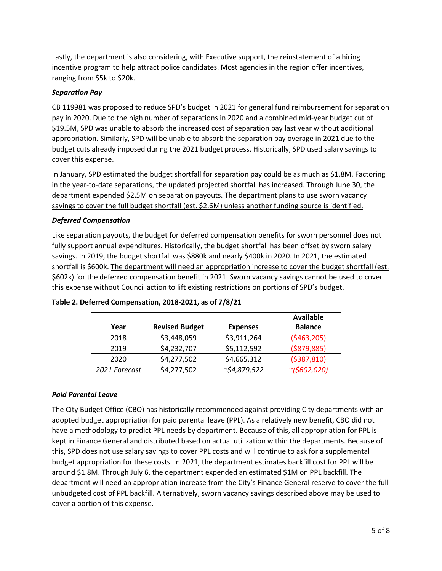Lastly, the department is also considering, with Executive support, the reinstatement of a hiring incentive program to help attract police candidates. Most agencies in the region offer incentives, ranging from \$5k to \$20k.

# Separation Pay

CB 119981 was proposed to reduce SPD's budget in 2021 for general fund reimbursement for separation pay in 2020. Due to the high number of separations in 2020 and a combined mid-year budget cut of \$19.5M, SPD was unable to absorb the increased cost of separation pay last year without additional appropriation. Similarly, SPD will be unable to absorb the separation pay overage in 2021 due to the budget cuts already imposed during the 2021 budget process. Historically, SPD used salary savings to cover this expense.

In January, SPD estimated the budget shortfall for separation pay could be as much as \$1.8M. Factoring in the year-to-date separations, the updated projected shortfall has increased. Through June 30, the department expended \$2.5M on separation payouts. The department plans to use sworn vacancy savings to cover the full budget shortfall (est. \$2.6M) unless another funding source is identified.

### Deferred Compensation

Like separation payouts, the budget for deferred compensation benefits for sworn personnel does not fully support annual expenditures. Historically, the budget shortfall has been offset by sworn salary savings. In 2019, the budget shortfall was \$880k and nearly \$400k in 2020. In 2021, the estimated shortfall is \$600k. The department will need an appropriation increase to cover the budget shortfall (est. \$602k) for the deferred compensation benefit in 2021. Sworn vacancy savings cannot be used to cover this expense without Council action to lift existing restrictions on portions of SPD's budget.

|               |                       |                    | <b>Available</b>  |
|---------------|-----------------------|--------------------|-------------------|
| Year          | <b>Revised Budget</b> | <b>Expenses</b>    | <b>Balance</b>    |
| 2018          | \$3,448,059           | \$3,911,264        | ( \$463, 205)     |
| 2019          | \$4,232,707           | \$5,112,592        | ( \$879, 885)     |
| 2020          | \$4,277,502           | \$4,665,312        | ( \$387, 810)     |
| 2021 Forecast | \$4,277,502           | $\sim$ \$4,879,522 | $\sim (5602,020)$ |

### Table 2. Deferred Compensation, 2018-2021, as of 7/8/21

# Paid Parental Leave

The City Budget Office (CBO) has historically recommended against providing City departments with an adopted budget appropriation for paid parental leave (PPL). As a relatively new benefit, CBO did not have a methodology to predict PPL needs by department. Because of this, all appropriation for PPL is kept in Finance General and distributed based on actual utilization within the departments. Because of this, SPD does not use salary savings to cover PPL costs and will continue to ask for a supplemental budget appropriation for these costs. In 2021, the department estimates backfill cost for PPL will be around \$1.8M. Through July 6, the department expended an estimated \$1M on PPL backfill. The department will need an appropriation increase from the City's Finance General reserve to cover the full unbudgeted cost of PPL backfill. Alternatively, sworn vacancy savings described above may be used to cover a portion of this expense.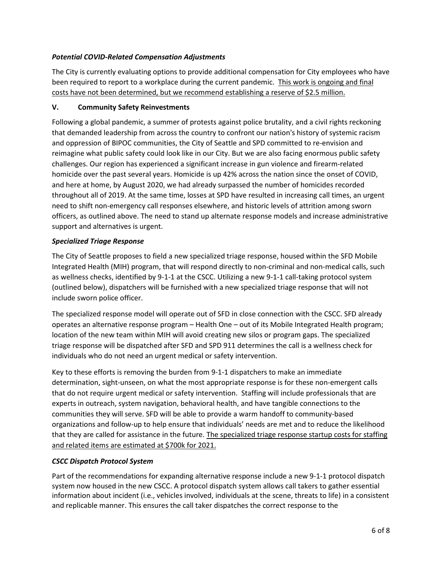# Potential COVID-Related Compensation Adjustments

The City is currently evaluating options to provide additional compensation for City employees who have been required to report to a workplace during the current pandemic. This work is ongoing and final costs have not been determined, but we recommend establishing a reserve of \$2.5 million.

### V. Community Safety Reinvestments

Following a global pandemic, a summer of protests against police brutality, and a civil rights reckoning that demanded leadership from across the country to confront our nation's history of systemic racism and oppression of BIPOC communities, the City of Seattle and SPD committed to re-envision and reimagine what public safety could look like in our City. But we are also facing enormous public safety challenges. Our region has experienced a significant increase in gun violence and firearm-related homicide over the past several years. Homicide is up 42% across the nation since the onset of COVID, and here at home, by August 2020, we had already surpassed the number of homicides recorded throughout all of 2019. At the same time, losses at SPD have resulted in increasing call times, an urgent need to shift non-emergency call responses elsewhere, and historic levels of attrition among sworn officers, as outlined above. The need to stand up alternate response models and increase administrative support and alternatives is urgent.

### Specialized Triage Response

The City of Seattle proposes to field a new specialized triage response, housed within the SFD Mobile Integrated Health (MIH) program, that will respond directly to non-criminal and non-medical calls, such as wellness checks, identified by 9-1-1 at the CSCC. Utilizing a new 9-1-1 call-taking protocol system (outlined below), dispatchers will be furnished with a new specialized triage response that will not include sworn police officer.

The specialized response model will operate out of SFD in close connection with the CSCC. SFD already operates an alternative response program – Health One – out of its Mobile Integrated Health program; location of the new team within MIH will avoid creating new silos or program gaps. The specialized triage response will be dispatched after SFD and SPD 911 determines the call is a wellness check for individuals who do not need an urgent medical or safety intervention.

Key to these efforts is removing the burden from 9-1-1 dispatchers to make an immediate determination, sight-unseen, on what the most appropriate response is for these non-emergent calls that do not require urgent medical or safety intervention. Staffing will include professionals that are experts in outreach, system navigation, behavioral health, and have tangible connections to the communities they will serve. SFD will be able to provide a warm handoff to community-based organizations and follow-up to help ensure that individuals' needs are met and to reduce the likelihood that they are called for assistance in the future. The specialized triage response startup costs for staffing and related items are estimated at \$700k for 2021.

# CSCC Dispatch Protocol System

Part of the recommendations for expanding alternative response include a new 9-1-1 protocol dispatch system now housed in the new CSCC. A protocol dispatch system allows call takers to gather essential information about incident (i.e., vehicles involved, individuals at the scene, threats to life) in a consistent and replicable manner. This ensures the call taker dispatches the correct response to the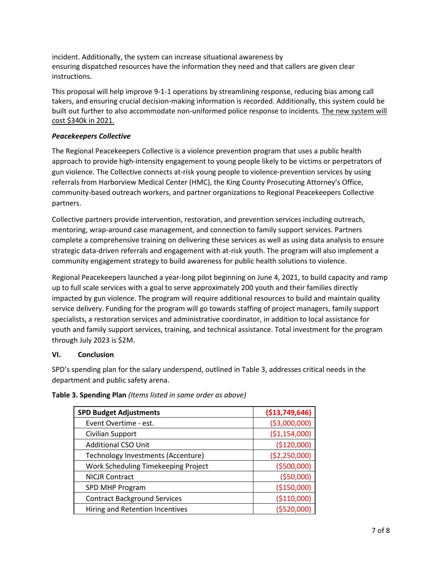incident. Additionally, the system can increase situational awareness by ensuring dispatched resources have the information they need and that callers are given clear instructions.

This proposal will help improve 9-1-1 operations by streamlining response, reducing bias among call takers, and ensuring crucial decision-making information is recorded. Additionally, this system could be built out further to also accommodate non-uniformed police response to incidents. The new system will cost \$340k in 2021.

### Peacekeepers Collective

The Regional Peacekeepers Collective is a violence prevention program that uses a public health approach to provide high-intensity engagement to young people likely to be victims or perpetrators of gun violence. The Collective connects at-risk young people to violence-prevention services by using referrals from Harborview Medical Center (HMC), the King County Prosecuting Attorney's Office, community-based outreach workers, and partner organizations to Regional Peacekeepers Collective partners.

Collective partners provide intervention, restoration, and prevention services including outreach, mentoring, wrap-around case management, and connection to family support services. Partners complete a comprehensive training on delivering these services as well as using data analysis to ensure strategic data-driven referrals and engagement with at-risk youth. The program will also implement a community engagement strategy to build awareness for public health solutions to violence.

Regional Peacekeepers launched a year-long pilot beginning on June 4, 2021, to build capacity and ramp up to full scale services with a goal to serve approximately 200 youth and their families directly impacted by gun violence. The program will require additional resources to build and maintain quality service delivery. Funding for the program will go towards staffing of project managers, family support specialists, a restoration services and administrative coordinator, in addition to local assistance for youth and family support services, training, and technical assistance. Total investment for the program through July 2023 is \$2M.

# VI. Conclusion

SPD's spending plan for the salary underspend, outlined in Table 3, addresses critical needs in the department and public safety arena.

| <b>SPD Budget Adjustments</b>       | ( \$13,749,646) |
|-------------------------------------|-----------------|
| Event Overtime - est.               | ( \$3,000,000)  |
| Civilian Support                    | ( \$1,154,000)  |
| <b>Additional CSO Unit</b>          | (\$120,000)     |
| Technology Investments (Accenture)  | (\$2,250,000)   |
| Work Scheduling Timekeeping Project | ( \$500,000]    |
| <b>NICJR Contract</b>               | ( \$50,000)     |
| SPD MHP Program                     | (\$150,000)     |
| <b>Contract Background Services</b> | (\$110,000)     |
| Hiring and Retention Incentives     | ( \$520,000]    |

Table 3. Spending Plan (Items listed in same order as above)